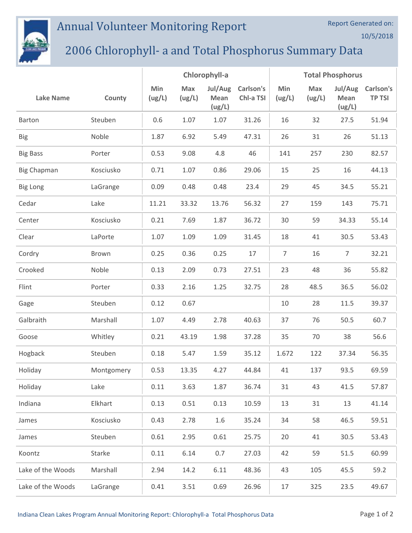## Annual Volunteer Monitoring Report

## 2006 Chlorophyll- a and Total Phosphorus Summary Data

|                    |            | Chlorophyll-a |               |                           |                        | <b>Total Phosphorus</b> |               |                           |                            |
|--------------------|------------|---------------|---------------|---------------------------|------------------------|-------------------------|---------------|---------------------------|----------------------------|
| <b>Lake Name</b>   | County     | Min<br>(ug/L) | Max<br>(ug/L) | Jul/Aug<br>Mean<br>(ug/L) | Carlson's<br>Chl-a TSI | Min<br>(ug/L)           | Max<br>(ug/L) | Jul/Aug<br>Mean<br>(ug/L) | Carlson's<br><b>TP TSI</b> |
| Barton             | Steuben    | 0.6           | 1.07          | 1.07                      | 31.26                  | 16                      | 32            | 27.5                      | 51.94                      |
| <b>Big</b>         | Noble      | 1.87          | 6.92          | 5.49                      | 47.31                  | 26                      | 31            | 26                        | 51.13                      |
| <b>Big Bass</b>    | Porter     | 0.53          | 9.08          | 4.8                       | 46                     | 141                     | 257           | 230                       | 82.57                      |
| <b>Big Chapman</b> | Kosciusko  | 0.71          | 1.07          | 0.86                      | 29.06                  | 15                      | 25            | 16                        | 44.13                      |
| <b>Big Long</b>    | LaGrange   | 0.09          | 0.48          | 0.48                      | 23.4                   | 29                      | 45            | 34.5                      | 55.21                      |
| Cedar              | Lake       | 11.21         | 33.32         | 13.76                     | 56.32                  | 27                      | 159           | 143                       | 75.71                      |
| Center             | Kosciusko  | 0.21          | 7.69          | 1.87                      | 36.72                  | 30                      | 59            | 34.33                     | 55.14                      |
| Clear              | LaPorte    | 1.07          | 1.09          | 1.09                      | 31.45                  | 18                      | 41            | 30.5                      | 53.43                      |
| Cordry             | Brown      | 0.25          | 0.36          | 0.25                      | 17                     | $\overline{7}$          | 16            | $\overline{7}$            | 32.21                      |
| Crooked            | Noble      | 0.13          | 2.09          | 0.73                      | 27.51                  | 23                      | 48            | 36                        | 55.82                      |
| Flint              | Porter     | 0.33          | 2.16          | 1.25                      | 32.75                  | 28                      | 48.5          | 36.5                      | 56.02                      |
| Gage               | Steuben    | 0.12          | 0.67          |                           |                        | 10                      | 28            | 11.5                      | 39.37                      |
| Galbraith          | Marshall   | 1.07          | 4.49          | 2.78                      | 40.63                  | 37                      | 76            | 50.5                      | 60.7                       |
| Goose              | Whitley    | 0.21          | 43.19         | 1.98                      | 37.28                  | 35                      | 70            | 38                        | 56.6                       |
| Hogback            | Steuben    | 0.18          | 5.47          | 1.59                      | 35.12                  | 1.672                   | 122           | 37.34                     | 56.35                      |
| Holiday            | Montgomery | 0.53          | 13.35         | 4.27                      | 44.84                  | 41                      | 137           | 93.5                      | 69.59                      |
| Holiday            | Lake       | 0.11          | 3.63          | 1.87                      | 36.74                  | 31                      | 43            | 41.5                      | 57.87                      |
| Indiana            | Elkhart    | 0.13          | 0.51          | 0.13                      | 10.59                  | 13                      | 31            | 13                        | 41.14                      |
| James              | Kosciusko  | 0.43          | 2.78          | 1.6                       | 35.24                  | 34                      | 58            | 46.5                      | 59.51                      |
| James              | Steuben    | 0.61          | 2.95          | 0.61                      | 25.75                  | 20                      | 41            | 30.5                      | 53.43                      |
| Koontz             | Starke     | 0.11          | 6.14          | 0.7                       | 27.03                  | 42                      | 59            | 51.5                      | 60.99                      |
| Lake of the Woods  | Marshall   | 2.94          | 14.2          | 6.11                      | 48.36                  | 43                      | 105           | 45.5                      | 59.2                       |
| Lake of the Woods  | LaGrange   | 0.41          | 3.51          | 0.69                      | 26.96                  | 17                      | 325           | 23.5                      | 49.67                      |

Report Generated on: